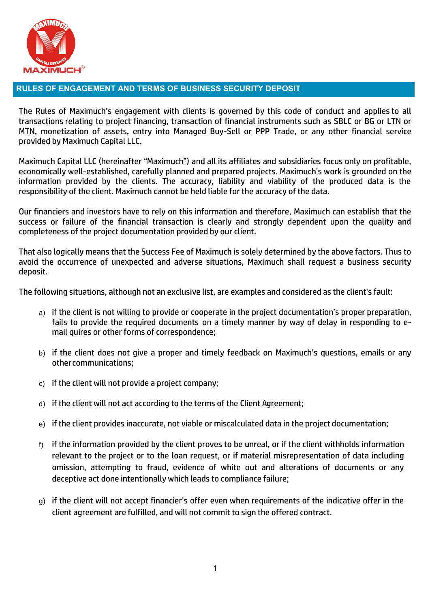

## **RULES OF ENGAGEMENT AND TERMS OF BUSINESS SECURITY DEPOSIT**

The Rules of Maximuch's engagement with clients is governed by this code of conduct and applies to all transactions relating to project financing, transaction of financial instruments such as SBLC or BG or LTN or MTN, monetization of assets, entry into Managed Buy-Sell or PPP Trade, or any other financial service provided by Maximuch Capital LLC.

Maximuch Capital LLC (hereinafter "Maximuch") and all its affiliates and subsidiaries focus only on profitable, economically well-established, carefully planned and prepared projects. Maximuch's work is grounded on the information provided by the clients. The accuracy, liability and viability of the produced data is the responsibility of the client. Maximuch cannot be held liable for the accuracy of the data.

Our financiers and investors have to rely on this information and therefore, Maximuch can establish that the success or failure of the financial transaction is clearly and strongly dependent upon the quality and completeness of the project documentation provided by our client.

That also logically means that the Success Fee of Maximuch is solely determined by the above factors. Thus to avoid the occurrence of unexpected and adverse situations, Maximuch shall request a business security deposit.

The following situations, although not an exclusive list, are examples and considered as the client's fault:

- a) if the client is not willing to provide or cooperate in the project documentation's proper preparation, fails to provide the required documents on a timely manner by way of delay in responding to email quires or other forms of correspondence;
- b) if the client does not give a proper and timely feedback on Maximuch's questions, emails or any othercommunications;
- c) if the client will not provide a project company;
- d) if the client will not act according to the terms of the Client Agreement;
- e) if the client provides inaccurate, not viable or miscalculated data in the project documentation;
- f) if the information provided by the client proves to be unreal, or if the client withholds information relevant to the project or to the loan request, or if material misrepresentation of data including omission, attempting to fraud, evidence of white out and alterations of documents or any deceptive act done intentionally which leads to compliance failure;
- g) if the client will not accept financier's offer even when requirements of the indicative offer in the client agreement are fulfilled, and will not commit to sign the offered contract.